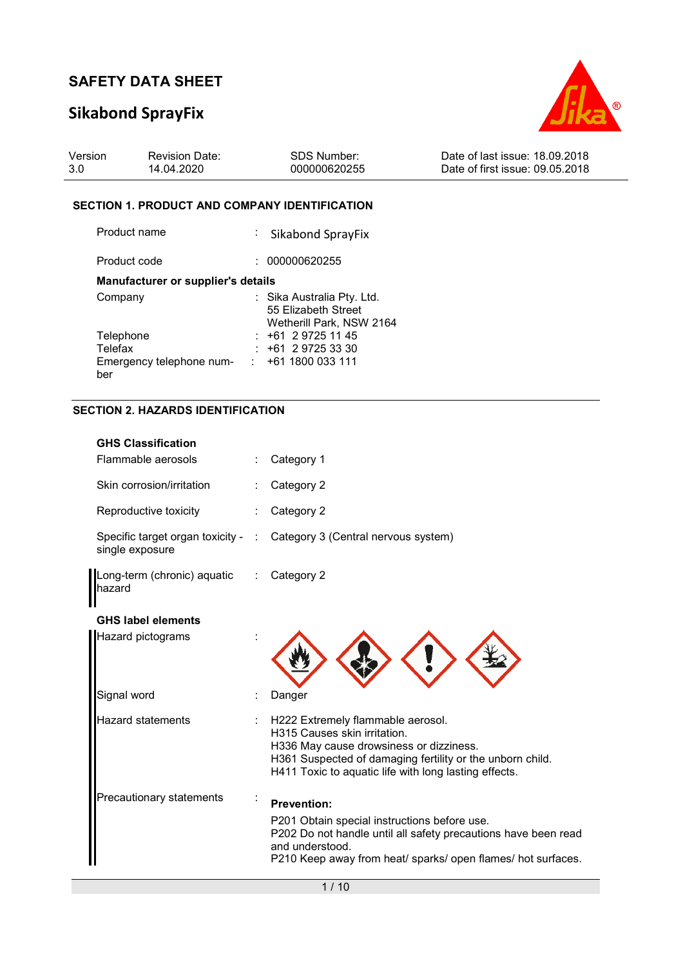## **Sikabond SprayFix**



| Version | <b>Revision Date:</b> | SDS Number:  | Date of last issue: 18.09.2018  |
|---------|-----------------------|--------------|---------------------------------|
| 3.0     | 14.04.2020            | 000000620255 | Date of first issue: 09.05.2018 |

#### **SECTION 1. PRODUCT AND COMPANY IDENTIFICATION**

| Product name                              | : Sikabond SprayFix                                                           |
|-------------------------------------------|-------------------------------------------------------------------------------|
| Product code                              | 000000620255                                                                  |
| <b>Manufacturer or supplier's details</b> |                                                                               |
| Company                                   | : Sika Australia Pty. Ltd.<br>55 Elizabeth Street<br>Wetherill Park, NSW 2164 |
| Telephone                                 | $: +61297251145$                                                              |
| Telefax                                   | $: +61297253330$                                                              |
| Emergency telephone num-<br>ber           | +61 1800 033 111                                                              |

#### **SECTION 2. HAZARDS IDENTIFICATION**

| <b>GHS Classification</b>                             |   |                                                                                                                                                                                                                                    |
|-------------------------------------------------------|---|------------------------------------------------------------------------------------------------------------------------------------------------------------------------------------------------------------------------------------|
| Flammable aerosols                                    |   | Category 1                                                                                                                                                                                                                         |
| Skin corrosion/irritation                             |   | Category 2                                                                                                                                                                                                                         |
| Reproductive toxicity                                 |   | Category 2                                                                                                                                                                                                                         |
| Specific target organ toxicity - :<br>single exposure |   | Category 3 (Central nervous system)                                                                                                                                                                                                |
| Long-term (chronic) aquatic<br>hazard                 | ÷ | Category 2                                                                                                                                                                                                                         |
| <b>GHS label elements</b>                             |   |                                                                                                                                                                                                                                    |
| Hazard pictograms                                     |   |                                                                                                                                                                                                                                    |
| Signal word                                           |   | Danger                                                                                                                                                                                                                             |
| <b>Hazard statements</b>                              |   | H222 Extremely flammable aerosol.<br>H315 Causes skin irritation.<br>H336 May cause drowsiness or dizziness.<br>H361 Suspected of damaging fertility or the unborn child.<br>H411 Toxic to aquatic life with long lasting effects. |
| Precautionary statements                              |   | <b>Prevention:</b><br>P201 Obtain special instructions before use.<br>P202 Do not handle until all safety precautions have been read<br>and understood.<br>P210 Keep away from heat/ sparks/ open flames/ hot surfaces.            |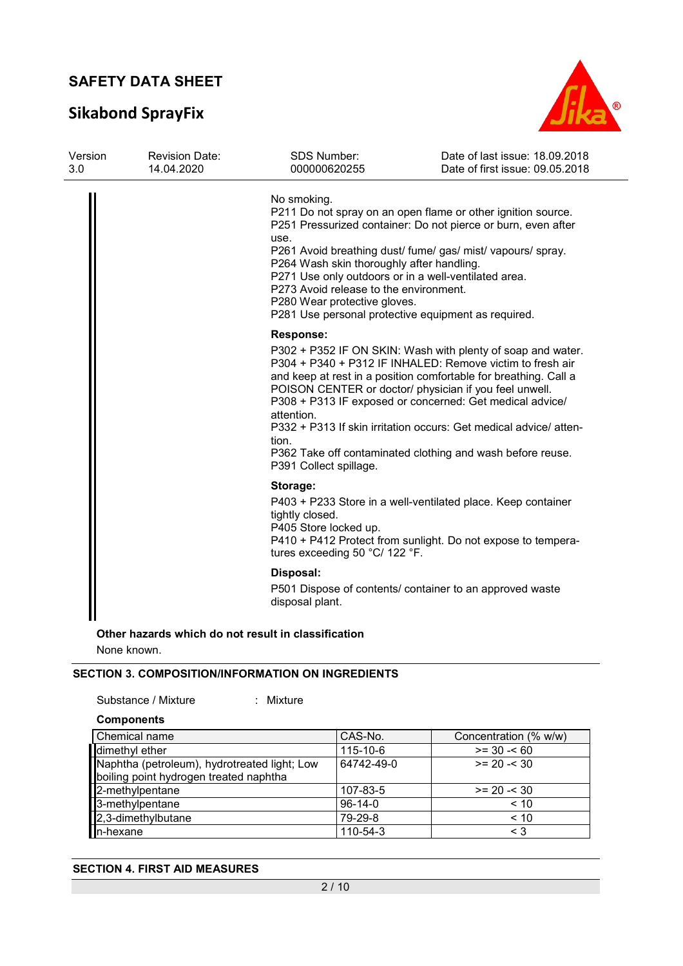## **Sikabond SprayFix**



| Version<br>3.0 | <b>Revision Date:</b><br>14.04.2020 | <b>SDS Number:</b><br>000000620255                                                                                                                                                                 | Date of last issue: 18.09.2018<br>Date of first issue: 09.05.2018                                                                                                                                                                                                                                                                                                                                                                                     |
|----------------|-------------------------------------|----------------------------------------------------------------------------------------------------------------------------------------------------------------------------------------------------|-------------------------------------------------------------------------------------------------------------------------------------------------------------------------------------------------------------------------------------------------------------------------------------------------------------------------------------------------------------------------------------------------------------------------------------------------------|
|                |                                     | No smoking.<br>use.<br>P264 Wash skin thoroughly after handling.<br>P271 Use only outdoors or in a well-ventilated area.<br>P273 Avoid release to the environment.<br>P280 Wear protective gloves. | P211 Do not spray on an open flame or other ignition source.<br>P251 Pressurized container: Do not pierce or burn, even after<br>P261 Avoid breathing dust/ fume/ gas/ mist/ vapours/ spray.<br>P281 Use personal protective equipment as required.                                                                                                                                                                                                   |
|                |                                     | <b>Response:</b><br>attention.<br>tion.<br>P391 Collect spillage.                                                                                                                                  | P302 + P352 IF ON SKIN: Wash with plenty of soap and water.<br>P304 + P340 + P312 IF INHALED: Remove victim to fresh air<br>and keep at rest in a position comfortable for breathing. Call a<br>POISON CENTER or doctor/ physician if you feel unwell.<br>P308 + P313 IF exposed or concerned: Get medical advice/<br>P332 + P313 If skin irritation occurs: Get medical advice/ atten-<br>P362 Take off contaminated clothing and wash before reuse. |
|                |                                     | Storage:<br>tightly closed.<br>P405 Store locked up.<br>tures exceeding 50 °C/ 122 °F.                                                                                                             | P403 + P233 Store in a well-ventilated place. Keep container<br>P410 + P412 Protect from sunlight. Do not expose to tempera-                                                                                                                                                                                                                                                                                                                          |
|                |                                     | Disposal:<br>disposal plant.                                                                                                                                                                       | P501 Dispose of contents/ container to an approved waste                                                                                                                                                                                                                                                                                                                                                                                              |

**Other hazards which do not result in classification**

None known.

#### **SECTION 3. COMPOSITION/INFORMATION ON INGREDIENTS**

```
: Mixture
```
#### **Components**

| Chemical name                                                                          | CAS-No.    | Concentration (% w/w) |
|----------------------------------------------------------------------------------------|------------|-----------------------|
| dimethyl ether                                                                         | 115-10-6   | $>= 30 - 60$          |
| Naphtha (petroleum), hydrotreated light; Low<br>boiling point hydrogen treated naphtha | 64742-49-0 | $>= 20 - 530$         |
| 2-methylpentane                                                                        | 107-83-5   | $>= 20 - 30$          |
| 3-methylpentane                                                                        | $96-14-0$  | < 10                  |
| 2,3-dimethylbutane                                                                     | 79-29-8    | < 10                  |
| In-hexane                                                                              | 110-54-3   | $\leq 3$              |

#### **SECTION 4. FIRST AID MEASURES**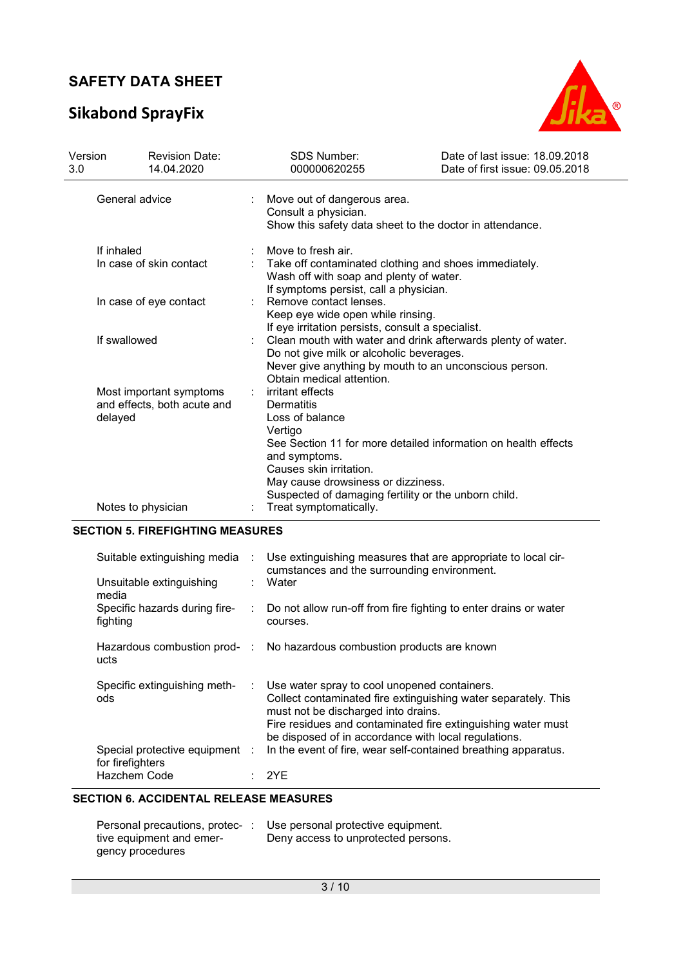## **Sikabond SprayFix**



| Version<br>3.0                                                         | <b>Revision Date:</b><br>14.04.2020 |                                                                                                                                                                                                                                                                          | <b>SDS Number:</b><br>000000620255                                                                                                                                                              | Date of last issue: 18.09.2018<br>Date of first issue: 09.05.2018 |  |  |
|------------------------------------------------------------------------|-------------------------------------|--------------------------------------------------------------------------------------------------------------------------------------------------------------------------------------------------------------------------------------------------------------------------|-------------------------------------------------------------------------------------------------------------------------------------------------------------------------------------------------|-------------------------------------------------------------------|--|--|
|                                                                        | General advice                      |                                                                                                                                                                                                                                                                          | Move out of dangerous area.<br>÷<br>Consult a physician.<br>Show this safety data sheet to the doctor in attendance.                                                                            |                                                                   |  |  |
| If inhaled<br>In case of skin contact                                  |                                     |                                                                                                                                                                                                                                                                          | Move to fresh air.<br>Take off contaminated clothing and shoes immediately.<br>Wash off with soap and plenty of water.<br>If symptoms persist, call a physician.                                |                                                                   |  |  |
| In case of eye contact                                                 |                                     |                                                                                                                                                                                                                                                                          | Remove contact lenses.<br>Keep eye wide open while rinsing.<br>If eye irritation persists, consult a specialist.                                                                                |                                                                   |  |  |
| If swallowed                                                           |                                     |                                                                                                                                                                                                                                                                          | Clean mouth with water and drink afterwards plenty of water.<br>Do not give milk or alcoholic beverages.<br>Never give anything by mouth to an unconscious person.<br>Obtain medical attention. |                                                                   |  |  |
| Most important symptoms<br>÷<br>and effects, both acute and<br>delayed |                                     | irritant effects<br>Dermatitis<br>Loss of balance<br>Vertigo<br>See Section 11 for more detailed information on health effects<br>and symptoms.<br>Causes skin irritation.<br>May cause drowsiness or dizziness.<br>Suspected of damaging fertility or the unborn child. |                                                                                                                                                                                                 |                                                                   |  |  |
|                                                                        | Notes to physician                  |                                                                                                                                                                                                                                                                          | Treat symptomatically.                                                                                                                                                                          |                                                                   |  |  |

#### **SECTION 5. FIREFIGHTING MEASURES**

| Suitable extinguishing media                       | ÷             | Use extinguishing measures that are appropriate to local cir-<br>cumstances and the surrounding environment.                                                                                                                                                                  |
|----------------------------------------------------|---------------|-------------------------------------------------------------------------------------------------------------------------------------------------------------------------------------------------------------------------------------------------------------------------------|
| Unsuitable extinguishing<br>media                  |               | Water                                                                                                                                                                                                                                                                         |
| Specific hazards during fire-<br>fighting          |               | Do not allow run-off from fire fighting to enter drains or water<br>courses.                                                                                                                                                                                                  |
| ucts                                               |               | Hazardous combustion prod- : No hazardous combustion products are known                                                                                                                                                                                                       |
| Specific extinguishing meth-<br>ods                | $\mathcal{L}$ | Use water spray to cool unopened containers.<br>Collect contaminated fire extinguishing water separately. This<br>must not be discharged into drains.<br>Fire residues and contaminated fire extinguishing water must<br>be disposed of in accordance with local regulations. |
| Special protective equipment :<br>for firefighters |               | In the event of fire, wear self-contained breathing apparatus.                                                                                                                                                                                                                |
| Hazchem Code                                       |               | 2YE                                                                                                                                                                                                                                                                           |

#### **SECTION 6. ACCIDENTAL RELEASE MEASURES**

| Personal precautions, protec- | Use personal protective equipment.  |
|-------------------------------|-------------------------------------|
| tive equipment and emer-      | Deny access to unprotected persons. |
| gency procedures              |                                     |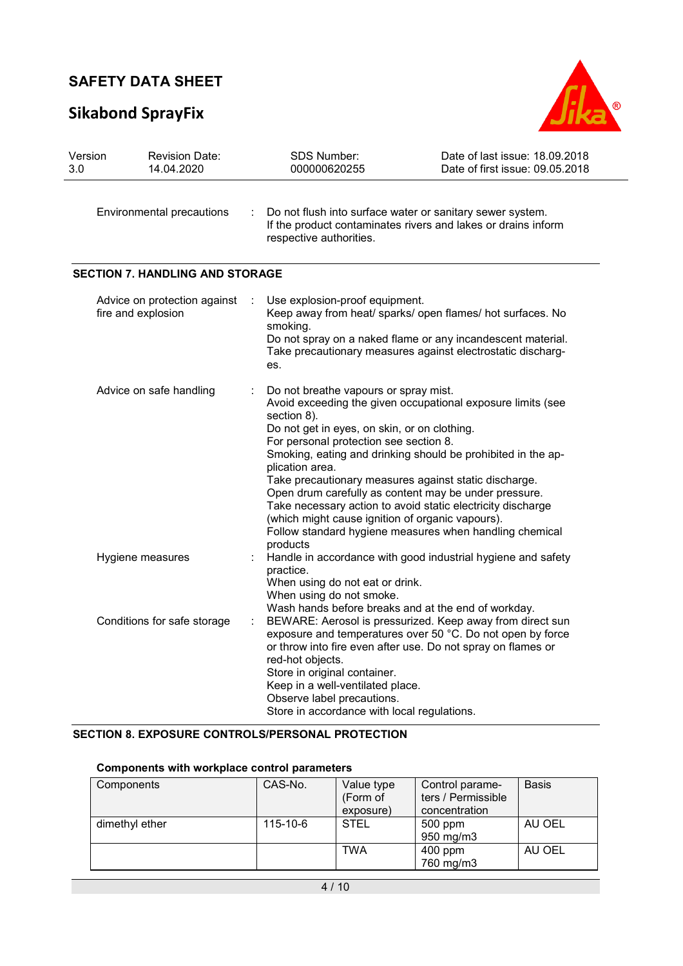## **Sikabond SprayFix**



| Version<br>3.0 | <b>Revision Date:</b><br>14.04.2020                | SDS Number:<br>000000620255                                                                                                                                                                                                                                                                                                                                                                                        | Date of last issue: 18.09.2018<br>Date of first issue: 09.05.2018                                                                                                                        |
|----------------|----------------------------------------------------|--------------------------------------------------------------------------------------------------------------------------------------------------------------------------------------------------------------------------------------------------------------------------------------------------------------------------------------------------------------------------------------------------------------------|------------------------------------------------------------------------------------------------------------------------------------------------------------------------------------------|
|                | Environmental precautions                          | Do not flush into surface water or sanitary sewer system.<br>respective authorities.                                                                                                                                                                                                                                                                                                                               | If the product contaminates rivers and lakes or drains inform                                                                                                                            |
|                | <b>SECTION 7. HANDLING AND STORAGE</b>             |                                                                                                                                                                                                                                                                                                                                                                                                                    |                                                                                                                                                                                          |
|                | Advice on protection against<br>fire and explosion | Use explosion-proof equipment.<br>smoking.<br>es.                                                                                                                                                                                                                                                                                                                                                                  | Keep away from heat/ sparks/ open flames/ hot surfaces. No<br>Do not spray on a naked flame or any incandescent material.<br>Take precautionary measures against electrostatic discharg- |
|                | Advice on safe handling                            | Do not breathe vapours or spray mist.<br>section 8).<br>Do not get in eyes, on skin, or on clothing.<br>For personal protection see section 8.<br>plication area.<br>Take precautionary measures against static discharge.<br>Open drum carefully as content may be under pressure.<br>Take necessary action to avoid static electricity discharge<br>(which might cause ignition of organic vapours).<br>products | Avoid exceeding the given occupational exposure limits (see<br>Smoking, eating and drinking should be prohibited in the ap-<br>Follow standard hygiene measures when handling chemical   |
|                | Hygiene measures                                   | practice.<br>When using do not eat or drink.<br>When using do not smoke.<br>Wash hands before breaks and at the end of workday.                                                                                                                                                                                                                                                                                    | Handle in accordance with good industrial hygiene and safety                                                                                                                             |
|                | Conditions for safe storage                        | or throw into fire even after use. Do not spray on flames or<br>red-hot objects.<br>Store in original container.<br>Keep in a well-ventilated place.<br>Observe label precautions.<br>Store in accordance with local regulations.                                                                                                                                                                                  | BEWARE: Aerosol is pressurized. Keep away from direct sun<br>exposure and temperatures over 50 °C. Do not open by force                                                                  |

#### **SECTION 8. EXPOSURE CONTROLS/PERSONAL PROTECTION**

| Components     | CAS-No.  | Value type<br>(Form of<br>exposure) | Control parame-<br>ters / Permissible<br>concentration | <b>Basis</b> |  |  |  |
|----------------|----------|-------------------------------------|--------------------------------------------------------|--------------|--|--|--|
| dimethyl ether | 115-10-6 | <b>STEL</b>                         | 500 ppm<br>950 mg/m3                                   | AU OEL       |  |  |  |
|                |          | <b>TWA</b>                          | 400 ppm<br>760 mg/m3                                   | AU OEL       |  |  |  |

#### **Components with workplace control parameters**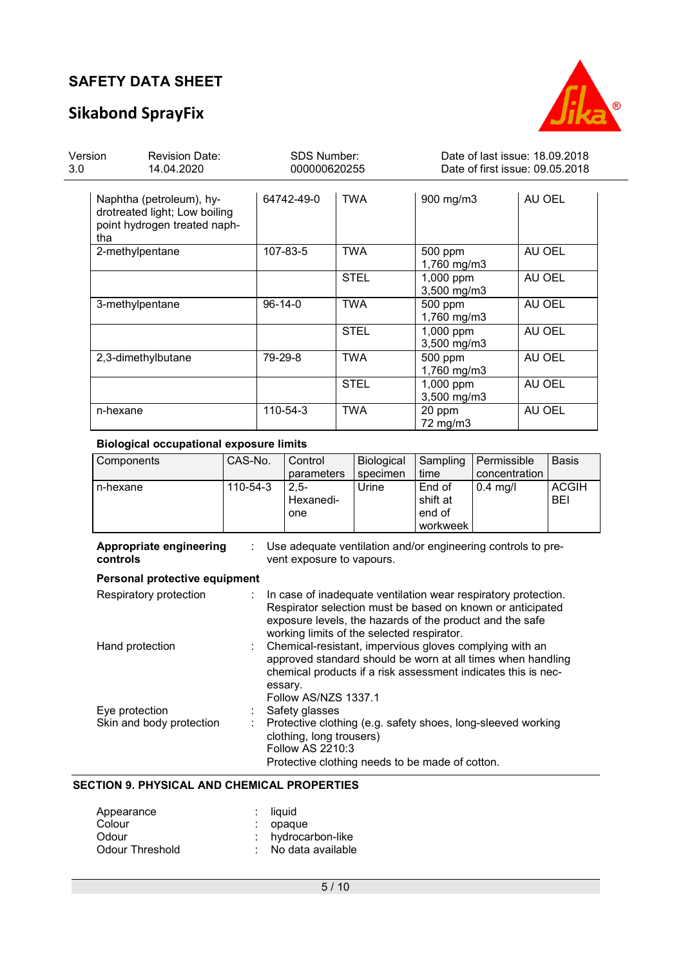## **Sikabond SprayFix**



| Version<br>3.0 | <b>Revision Date:</b><br>14.04.2020                                                       |               | <b>SDS Number:</b><br>000000620255 |                          | Date of last issue: 18.09.2018<br>Date of first issue: 09.05.2018 |  |  |
|----------------|-------------------------------------------------------------------------------------------|---------------|------------------------------------|--------------------------|-------------------------------------------------------------------|--|--|
| tha            | Naphtha (petroleum), hy-<br>drotreated light; Low boiling<br>point hydrogen treated naph- | 64742-49-0    | <b>TWA</b>                         | 900 mg/m3                | AU OEL                                                            |  |  |
|                | 2-methylpentane                                                                           | 107-83-5      | <b>TWA</b>                         | 500 ppm<br>1,760 mg/m3   | AU OEL                                                            |  |  |
|                |                                                                                           |               | <b>STEL</b>                        | 1,000 ppm<br>3,500 mg/m3 | AU OEL                                                            |  |  |
|                | 3-methylpentane                                                                           | $96 - 14 - 0$ | <b>TWA</b>                         | 500 ppm<br>1,760 mg/m3   | AU OEL                                                            |  |  |
|                |                                                                                           |               | <b>STEL</b>                        | 1,000 ppm<br>3,500 mg/m3 | AU OEL                                                            |  |  |
|                | 2,3-dimethylbutane                                                                        | 79-29-8       | <b>TWA</b>                         | 500 ppm<br>1,760 mg/m3   | AU OEL                                                            |  |  |
|                |                                                                                           |               | <b>STEL</b>                        | 1,000 ppm<br>3,500 mg/m3 | AU OEL                                                            |  |  |
| n-hexane       |                                                                                           | 110-54-3      | <b>TWA</b>                         | 20 ppm<br>72 mg/m3       | AU OEL                                                            |  |  |

#### **Biological occupational exposure limits**

| Components | CAS-No.  | Control<br>parameters       | <b>Biological</b><br>specimen | Sampling<br>time                         | Permissible<br>concentration | <b>Basis</b>               |
|------------|----------|-----------------------------|-------------------------------|------------------------------------------|------------------------------|----------------------------|
| n-hexane   | 110-54-3 | $2.5 -$<br>Hexanedi-<br>one | Urine                         | End of<br>shift at<br>end of<br>workweek | $0.4$ mg/l                   | <b>ACGIH</b><br><b>BEI</b> |

**Appropriate engineering**  : Use adequate ventilation and/or engineering controls to pre-

| controls                      | vent exposure to vapours.                                                                                                                                                                                                                           |
|-------------------------------|-----------------------------------------------------------------------------------------------------------------------------------------------------------------------------------------------------------------------------------------------------|
| Personal protective equipment |                                                                                                                                                                                                                                                     |
| Respiratory protection        | $\therefore$ In case of inadequate ventilation wear respiratory protection.<br>Respirator selection must be based on known or anticipated<br>exposure levels, the hazards of the product and the safe<br>working limits of the selected respirator. |
| Hand protection               | : Chemical-resistant, impervious gloves complying with an<br>approved standard should be worn at all times when handling<br>chemical products if a risk assessment indicates this is nec-<br>essary.<br>Follow AS/NZS 1337.1                        |
| Eye protection                | Safety glasses                                                                                                                                                                                                                                      |
| Skin and body protection      | : Protective clothing (e.g. safety shoes, long-sleeved working<br>clothing, long trousers)<br>Follow AS 2210:3<br>Protective clothing needs to be made of cotton.                                                                                   |

#### **SECTION 9. PHYSICAL AND CHEMICAL PROPERTIES**

| Appearance      | $:$ liquid          |
|-----------------|---------------------|
| Colour          | : opaque            |
| Odour           | : hydrocarbon-like  |
| Odour Threshold | : No data available |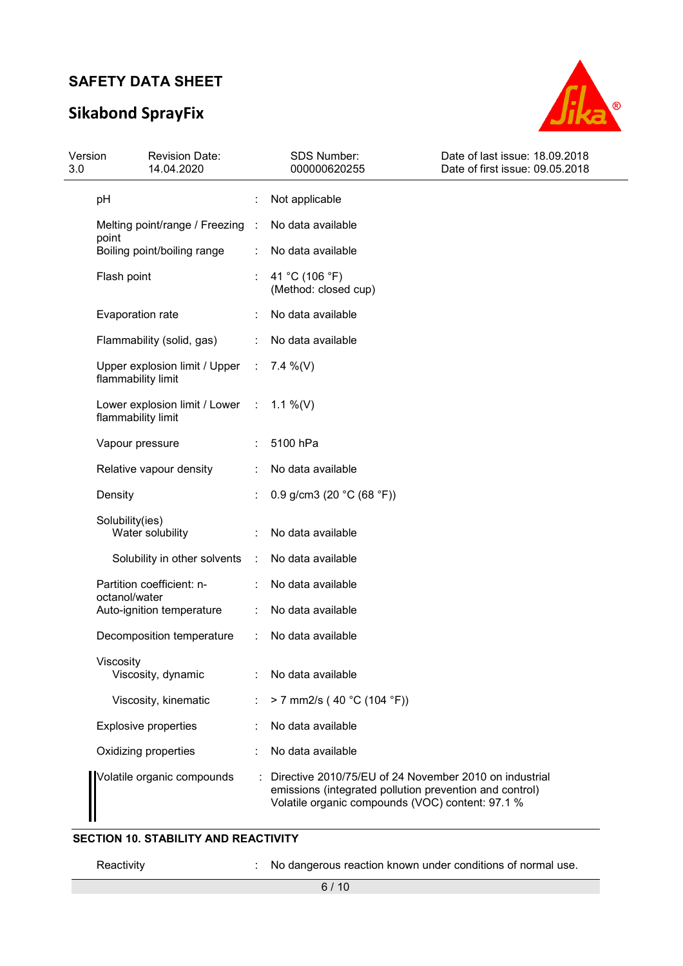## **Sikabond SprayFix**



| Version<br>3.0 | <b>Revision Date:</b><br>14.04.2020                   |                              | <b>SDS Number:</b><br>000000620255                                                                                                                                    | Date of last issue: 18.09.2018<br>Date of first issue: 09.05.2018 |
|----------------|-------------------------------------------------------|------------------------------|-----------------------------------------------------------------------------------------------------------------------------------------------------------------------|-------------------------------------------------------------------|
| pH             |                                                       |                              | Not applicable                                                                                                                                                        |                                                                   |
|                | Melting point/range / Freezing :                      |                              | No data available                                                                                                                                                     |                                                                   |
| point          | Boiling point/boiling range                           |                              | No data available                                                                                                                                                     |                                                                   |
|                | Flash point                                           |                              | 41 °C (106 °F)<br>(Method: closed cup)                                                                                                                                |                                                                   |
|                | Evaporation rate                                      |                              | No data available                                                                                                                                                     |                                                                   |
|                | Flammability (solid, gas)                             |                              | No data available                                                                                                                                                     |                                                                   |
|                | Upper explosion limit / Upper<br>flammability limit   | $\mathcal{L}_{\mathrm{eff}}$ | 7.4 %(V)                                                                                                                                                              |                                                                   |
|                | Lower explosion limit / Lower :<br>flammability limit |                              | 1.1 %(V)                                                                                                                                                              |                                                                   |
|                | Vapour pressure                                       |                              | 5100 hPa                                                                                                                                                              |                                                                   |
|                | Relative vapour density                               |                              | No data available                                                                                                                                                     |                                                                   |
| Density        |                                                       |                              | 0.9 g/cm3 (20 $°C$ (68 °F))                                                                                                                                           |                                                                   |
|                | Solubility(ies)<br>Water solubility                   |                              | No data available                                                                                                                                                     |                                                                   |
|                | Solubility in other solvents                          | ÷                            | No data available                                                                                                                                                     |                                                                   |
|                | Partition coefficient: n-                             |                              | No data available                                                                                                                                                     |                                                                   |
|                | octanol/water<br>Auto-ignition temperature            |                              | No data available                                                                                                                                                     |                                                                   |
|                | Decomposition temperature                             |                              | No data available                                                                                                                                                     |                                                                   |
| Viscosity      | Viscosity, dynamic                                    |                              | No data available                                                                                                                                                     |                                                                   |
|                | Viscosity, kinematic                                  |                              | > 7 mm2/s (40 °C (104 °F))                                                                                                                                            |                                                                   |
|                | <b>Explosive properties</b>                           |                              | No data available                                                                                                                                                     |                                                                   |
|                | Oxidizing properties                                  |                              | No data available                                                                                                                                                     |                                                                   |
|                | Volatile organic compounds                            |                              | Directive 2010/75/EU of 24 November 2010 on industrial<br>emissions (integrated pollution prevention and control)<br>Volatile organic compounds (VOC) content: 97.1 % |                                                                   |
|                |                                                       |                              |                                                                                                                                                                       |                                                                   |

#### **SECTION 10. STABILITY AND REACTIVITY**

Reactivity **Reactivity** : No dangerous reaction known under conditions of normal use.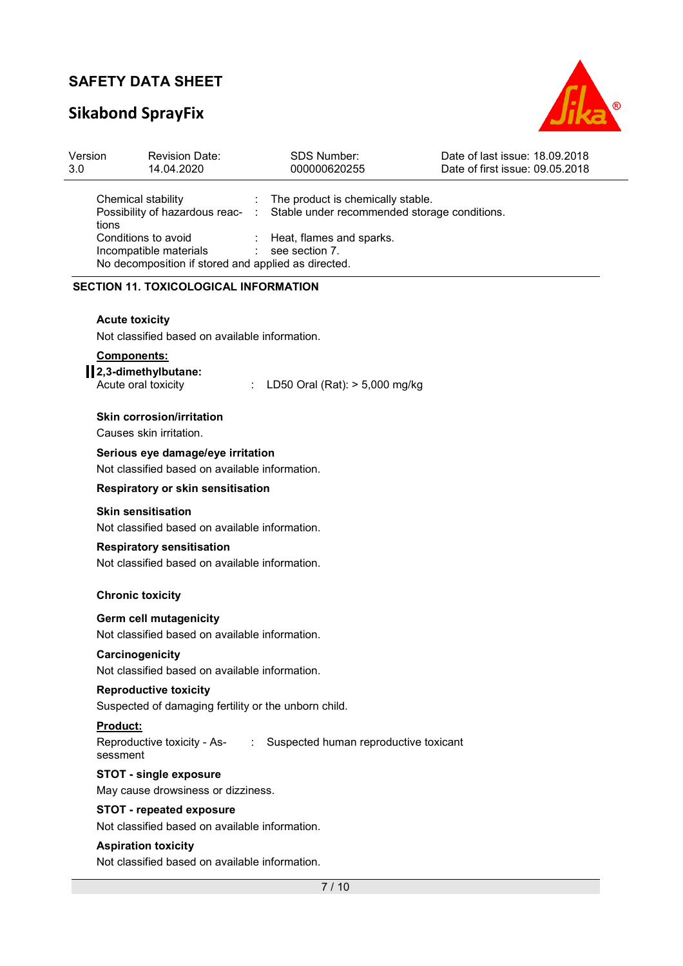# **Sikabond SprayFix**



| Version<br>3.0       | <b>Revision Date:</b><br>14.04.2020                                                                  | <b>SDS Number:</b><br>000000620255                                                           | Date of last issue: 18.09.2018<br>Date of first issue: 09.05.2018 |
|----------------------|------------------------------------------------------------------------------------------------------|----------------------------------------------------------------------------------------------|-------------------------------------------------------------------|
| tions                | Chemical stability<br>Possibility of hazardous reac-                                                 | The product is chemically stable.<br>Stable under recommended storage conditions.<br>$\cdot$ |                                                                   |
|                      | Conditions to avoid<br>Incompatible materials<br>No decomposition if stored and applied as directed. | Heat, flames and sparks.<br>see section 7.                                                   |                                                                   |
|                      | <b>SECTION 11. TOXICOLOGICAL INFORMATION</b>                                                         |                                                                                              |                                                                   |
|                      | <b>Acute toxicity</b><br>Not classified based on available information.                              |                                                                                              |                                                                   |
|                      | Components:<br>2,3-dimethylbutane:<br>Acute oral toxicity                                            | LD50 Oral (Rat): > 5,000 mg/kg                                                               |                                                                   |
|                      | Skin corrosion/irritation<br>Causes skin irritation.                                                 |                                                                                              |                                                                   |
|                      | Serious eye damage/eye irritation<br>Not classified based on available information.                  |                                                                                              |                                                                   |
|                      | Respiratory or skin sensitisation                                                                    |                                                                                              |                                                                   |
|                      | <b>Skin sensitisation</b><br>Not classified based on available information.                          |                                                                                              |                                                                   |
|                      | <b>Respiratory sensitisation</b><br>Not classified based on available information.                   |                                                                                              |                                                                   |
|                      | <b>Chronic toxicity</b>                                                                              |                                                                                              |                                                                   |
|                      | Germ cell mutagenicity<br>Not classified based on available information.                             |                                                                                              |                                                                   |
|                      | Carcinogenicity<br>Not classified based on available information.                                    |                                                                                              |                                                                   |
|                      | <b>Reproductive toxicity</b><br>Suspected of damaging fertility or the unborn child.                 |                                                                                              |                                                                   |
| Product:<br>sessment | Reproductive toxicity - As-                                                                          | Suspected human reproductive toxicant<br>$\mathcal{L}_{\rm{max}}$                            |                                                                   |
|                      | <b>STOT - single exposure</b><br>May cause drowsiness or dizziness.                                  |                                                                                              |                                                                   |
|                      | <b>STOT - repeated exposure</b><br>Not classified based on available information.                    |                                                                                              |                                                                   |
|                      | <b>Aspiration toxicity</b><br>Not classified based on available information.                         |                                                                                              |                                                                   |
|                      |                                                                                                      | 7/10                                                                                         |                                                                   |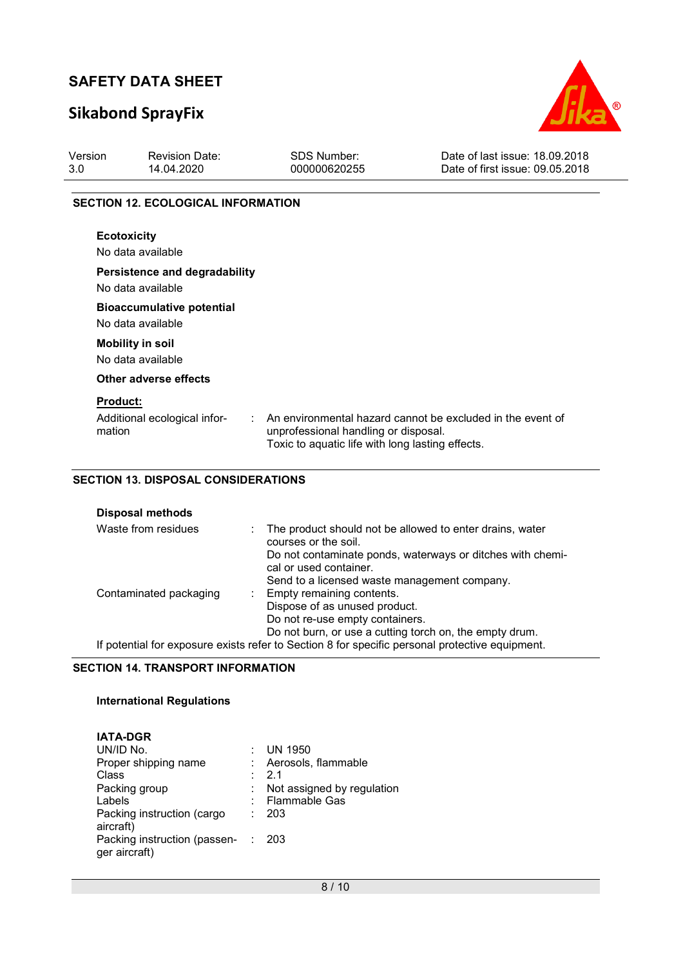## **Sikabond SprayFix**



| Version<br>3.0  | <b>Revision Date:</b><br>14.04.2020                   | <b>SDS Number:</b><br>000000620255                                                                 | Date of last issue: 18.09.2018<br>Date of first issue: 09.05.2018 |
|-----------------|-------------------------------------------------------|----------------------------------------------------------------------------------------------------|-------------------------------------------------------------------|
|                 | <b>SECTION 12. ECOLOGICAL INFORMATION</b>             |                                                                                                    |                                                                   |
|                 | <b>Ecotoxicity</b><br>No data available               |                                                                                                    |                                                                   |
|                 | Persistence and degradability<br>No data available    |                                                                                                    |                                                                   |
|                 | <b>Bioaccumulative potential</b><br>No data available |                                                                                                    |                                                                   |
|                 | <b>Mobility in soil</b><br>No data available          |                                                                                                    |                                                                   |
|                 | Other adverse effects                                 |                                                                                                    |                                                                   |
| <b>Product:</b> |                                                       |                                                                                                    |                                                                   |
| mation          | Additional ecological infor-                          | $\sim$<br>unprofessional handling or disposal.<br>Toxic to aquatic life with long lasting effects. | An environmental hazard cannot be excluded in the event of        |

#### **SECTION 13. DISPOSAL CONSIDERATIONS**

| <b>Disposal methods</b> |                                                                                                 |
|-------------------------|-------------------------------------------------------------------------------------------------|
| Waste from residues     | The product should not be allowed to enter drains, water<br>courses or the soil.                |
|                         | Do not contaminate ponds, waterways or ditches with chemi-                                      |
|                         | cal or used container.                                                                          |
|                         | Send to a licensed waste management company.                                                    |
| Contaminated packaging  | : Empty remaining contents.                                                                     |
|                         | Dispose of as unused product.                                                                   |
|                         | Do not re-use empty containers.                                                                 |
|                         | Do not burn, or use a cutting torch on, the empty drum.                                         |
|                         | If potential for exposure exists refer to Section 8 for specific personal protective equipment. |

#### **SECTION 14. TRANSPORT INFORMATION**

#### **International Regulations**

| <b>IATA-DGR</b>                                 |                            |
|-------------------------------------------------|----------------------------|
| UN/ID No.                                       | UN 1950                    |
| Proper shipping name                            | Aerosols, flammable        |
| Class                                           | $\cdot$ 21                 |
| Packing group                                   | Not assigned by regulation |
| Labels                                          | <b>Flammable Gas</b>       |
| Packing instruction (cargo<br>aircraft)         | - 203                      |
| Packing instruction (passen- :<br>ger aircraft) | - 203                      |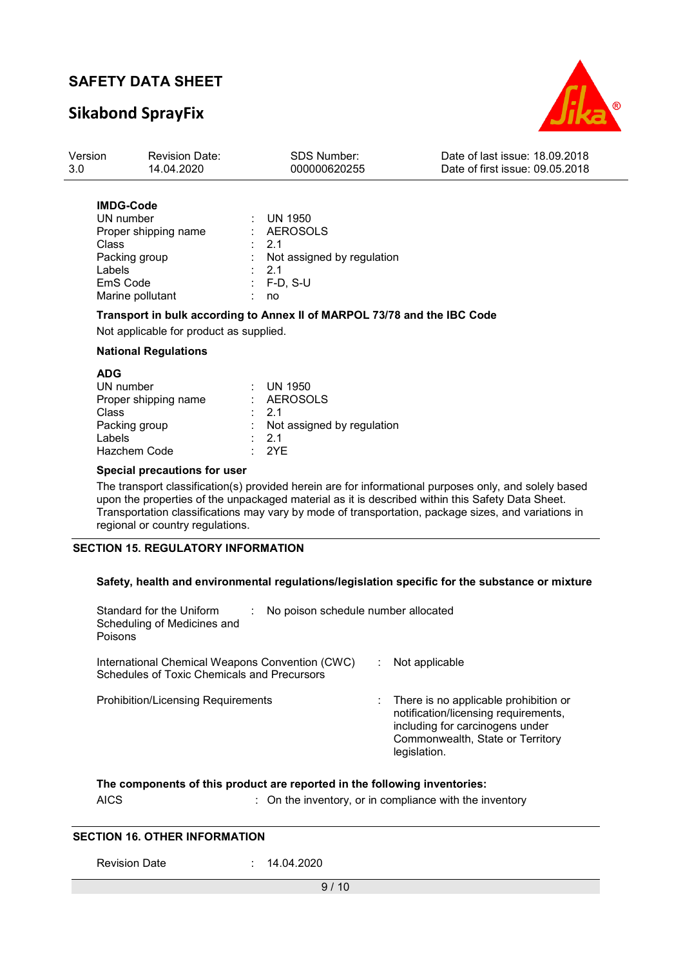### **Sikabond SprayFix**



| Version | Revision Date: | SDS Number:  | Date of last issue: 18.09.2018  |
|---------|----------------|--------------|---------------------------------|
| 3.0     | 14.04.2020     | 000000620255 | Date of first issue: 09.05.2018 |
|         |                |              |                                 |

#### **IMDG-Code**

| UN number            | : UN 1950                    |
|----------------------|------------------------------|
| Proper shipping name | : AEROSOLS                   |
| Class                | $\therefore$ 2.1             |
| Packing group        | : Not assigned by regulation |
| Labels               | $\therefore$ 2.1             |
| EmS Code             | $\therefore$ F-D. S-U        |
| Marine pollutant     | no                           |

#### **Transport in bulk according to Annex II of MARPOL 73/78 and the IBC Code**

Not applicable for product as supplied.

#### **National Regulations**

| ADG<br>UN number<br>Proper shipping name<br>Class<br>Packing group<br>Labels | : UN 1950<br>: AEROSOLS<br>$\cdot$ 21<br>: Not assigned by regulation<br>$\cdot$ 21 |
|------------------------------------------------------------------------------|-------------------------------------------------------------------------------------|
| Hazchem Code                                                                 | $\cdot$ 2YF                                                                         |
|                                                                              |                                                                                     |

#### **Special precautions for user**

The transport classification(s) provided herein are for informational purposes only, and solely based upon the properties of the unpackaged material as it is described within this Safety Data Sheet. Transportation classifications may vary by mode of transportation, package sizes, and variations in regional or country regulations.

#### **SECTION 15. REGULATORY INFORMATION**

#### **Safety, health and environmental regulations/legislation specific for the substance or mixture**

| Standard for the Uniform<br>Scheduling of Medicines and<br>Poisons                                    | No poison schedule number allocated |                                                                                                                                                                      |
|-------------------------------------------------------------------------------------------------------|-------------------------------------|----------------------------------------------------------------------------------------------------------------------------------------------------------------------|
| International Chemical Weapons Convention (CWC)<br><b>Schedules of Toxic Chemicals and Precursors</b> |                                     | Not applicable                                                                                                                                                       |
| <b>Prohibition/Licensing Requirements</b>                                                             |                                     | There is no applicable prohibition or<br>notification/licensing requirements,<br>including for carcinogens under<br>Commonwealth, State or Territory<br>legislation. |

#### **The components of this product are reported in the following inventories:**

AICS : On the inventory, or in compliance with the inventory

#### **SECTION 16. OTHER INFORMATION**

Revision Date : 14.04.2020